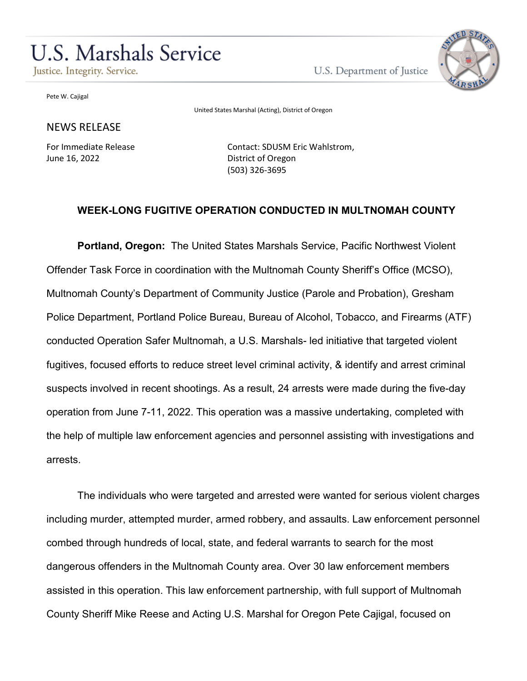# **U.S. Marshals Service**

Justice. Integrity. Service.

U.S. Department of Justice



Pete W. Cajigal

United States Marshal (Acting), District of Oregon

## NEWS RELEASE

For Immediate Release June 16, 2022

Contact: SDUSM Eric Wahlstrom, District of Oregon (503) 326-3695

## **WEEK-LONG FUGITIVE OPERATION CONDUCTED IN MULTNOMAH COUNTY**

**Portland, Oregon:** The United States Marshals Service, Pacific Northwest Violent Offender Task Force in coordination with the Multnomah County Sheriff's Office (MCSO), Multnomah County's Department of Community Justice (Parole and Probation), Gresham Police Department, Portland Police Bureau, Bureau of Alcohol, Tobacco, and Firearms (ATF) conducted Operation Safer Multnomah, a U.S. Marshals- led initiative that targeted violent fugitives, focused efforts to reduce street level criminal activity, & identify and arrest criminal suspects involved in recent shootings. As a result, 24 arrests were made during the five-day operation from June 7-11, 2022. This operation was a massive undertaking, completed with the help of multiple law enforcement agencies and personnel assisting with investigations and arrests.

The individuals who were targeted and arrested were wanted for serious violent charges including murder, attempted murder, armed robbery, and assaults. Law enforcement personnel combed through hundreds of local, state, and federal warrants to search for the most dangerous offenders in the Multnomah County area. Over 30 law enforcement members assisted in this operation. This law enforcement partnership, with full support of Multnomah County Sheriff Mike Reese and Acting U.S. Marshal for Oregon Pete Cajigal, focused on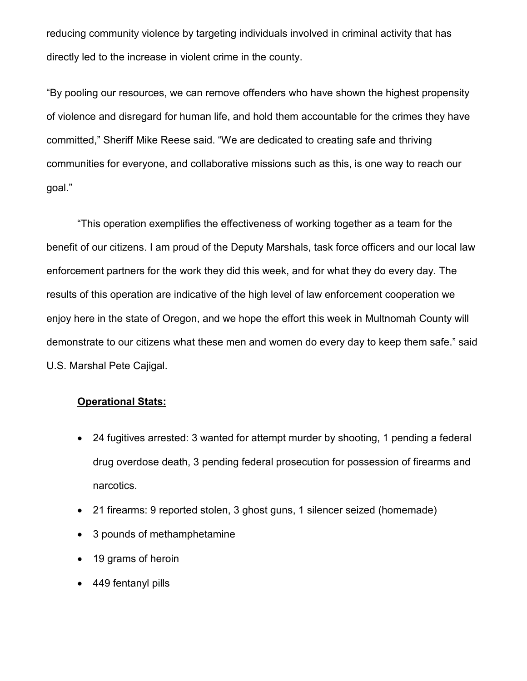reducing community violence by targeting individuals involved in criminal activity that has directly led to the increase in violent crime in the county.

"By pooling our resources, we can remove offenders who have shown the highest propensity of violence and disregard for human life, and hold them accountable for the crimes they have committed," Sheriff Mike Reese said. "We are dedicated to creating safe and thriving communities for everyone, and collaborative missions such as this, is one way to reach our goal."

"This operation exemplifies the effectiveness of working together as a team for the benefit of our citizens. I am proud of the Deputy Marshals, task force officers and our local law enforcement partners for the work they did this week, and for what they do every day. The results of this operation are indicative of the high level of law enforcement cooperation we enjoy here in the state of Oregon, and we hope the effort this week in Multnomah County will demonstrate to our citizens what these men and women do every day to keep them safe." said U.S. Marshal Pete Cajigal.

#### **Operational Stats:**

- 24 fugitives arrested: 3 wanted for attempt murder by shooting, 1 pending a federal drug overdose death, 3 pending federal prosecution for possession of firearms and narcotics.
- 21 firearms: 9 reported stolen, 3 ghost guns, 1 silencer seized (homemade)
- 3 pounds of methamphetamine
- 19 grams of heroin
- 449 fentanyl pills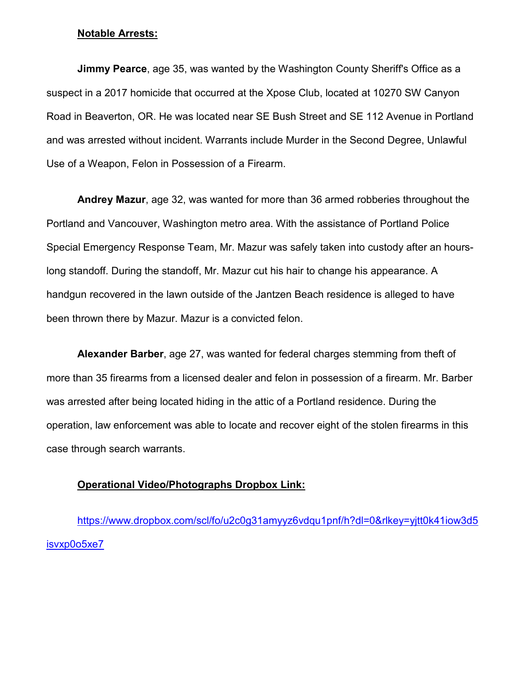#### **Notable Arrests:**

**Jimmy Pearce**, age 35, was wanted by the Washington County Sheriff's Office as a suspect in a 2017 homicide that occurred at the Xpose Club, located at 10270 SW Canyon Road in Beaverton, OR. He was located near SE Bush Street and SE 112 Avenue in Portland and was arrested without incident. Warrants include Murder in the Second Degree, Unlawful Use of a Weapon, Felon in Possession of a Firearm.

**Andrey Mazur**, age 32, was wanted for more than 36 armed robberies throughout the Portland and Vancouver, Washington metro area. With the assistance of Portland Police Special Emergency Response Team, Mr. Mazur was safely taken into custody after an hourslong standoff. During the standoff, Mr. Mazur cut his hair to change his appearance. A handgun recovered in the lawn outside of the Jantzen Beach residence is alleged to have been thrown there by Mazur. Mazur is a convicted felon.

**Alexander Barber**, age 27, was wanted for federal charges stemming from theft of more than 35 firearms from a licensed dealer and felon in possession of a firearm. Mr. Barber was arrested after being located hiding in the attic of a Portland residence. During the operation, law enforcement was able to locate and recover eight of the stolen firearms in this case through search warrants.

## **Operational Video/Photographs Dropbox Link:**

[https://www.dropbox.com/scl/fo/u2c0g31amyyz6vdqu1pnf/h?dl=0&rlkey=yjtt0k41iow3d5](https://www.dropbox.com/scl/fo/u2c0g31amyyz6vdqu1pnf/h?dl=0&rlkey=yjtt0k41iow3d5isvxp0o5xe7) [isvxp0o5xe7](https://www.dropbox.com/scl/fo/u2c0g31amyyz6vdqu1pnf/h?dl=0&rlkey=yjtt0k41iow3d5isvxp0o5xe7)